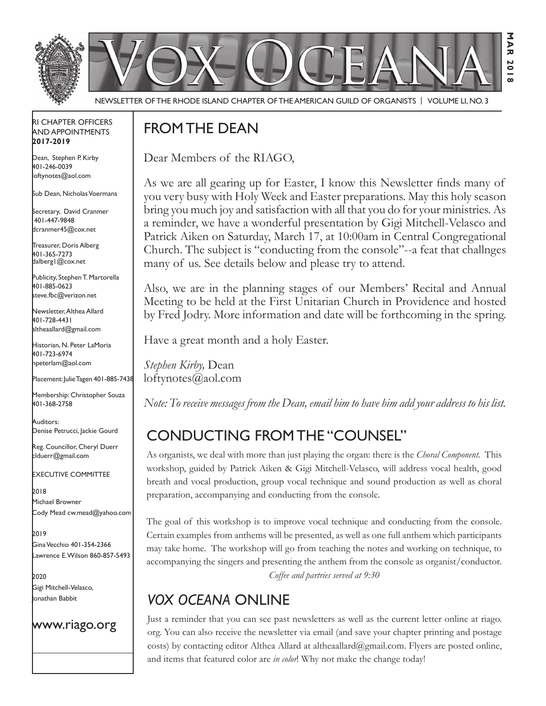

M<br>M<br>2018<br>2019

з う<br>ス 20  $\sim$ 

Newsletter of the Rhode Island Chapter of the American Guild of OrganistS | Volume LI, No. 3

#### RI Chapter Officers and Appointments **2017-2019**

Dean, Stephen P. Kirby 401-246-0039 loftynotes@aol.com

Sub Dean, Nicholas Voermans

Secretary, David Cranmer 401-447-9848 dcranmer45@cox.net

Treasurer, Doris Alberg 401-365-7273 dalberg1@cox.net

I Publicity, Stephen T. Martorella 401-885-0623 steve.fbc@verizon.net

Newsletter, Althea Allard 401-728-4431 altheaallard@gmail.com

Historian, N. Peter LaMoria 401-723-6974 npeterlam@aol.com

Placement: Julie Tagen 401-885-7438

Membership: Christopher Souza 401-368-2758

Auditors: Denise Petrucci, Jackie Gourd

Reg. Councillor, Cheryl Duerr clduerr@gmail.com

Executive Committee

2018 Michael Browner Cody Mead cw.mead@yahoo.com

2019 Gina Vecchio 401-354-2366 Lawrence E. Wilson 860-857-5493

2020 Gigi Mitchell-Velasco, Jonathan Babbit

#### www.riago.org

## FROM THE DEAN

Dear Members of the RIAGO,

As we are all gearing up for Easter, I know this Newsletter finds many of you very busy with Holy Week and Easter preparations. May this holy season bring you much joy and satisfaction with all that you do for your ministries. As a reminder, we have a wonderful presentation by Gigi Mitchell-Velasco and Patrick Aiken on Saturday, March 17, at 10:00am in Central Congregational Church. The subject is "conducting from the console"--a feat that challnges many of us. See details below and please try to attend.

Also, we are in the planning stages of our Members' Recital and Annual Meeting to be held at the First Unitarian Church in Providence and hosted by Fred Jodry. More information and date will be forthcoming in the spring.

Have a great month and a holy Easter.

*Stephen Kirby,* Dean loftynotes@aol.com

*Note: To receive messages from the Dean, email him to have him add your address to his list.*

# Conducting from the "Counsel"

As organists, we deal with more than just playing the organ: there is the *Choral Component*. This workshop, guided by Patrick Aiken & Gigi Mitchell-Velasco, will address vocal health, good breath and vocal production, group vocal technique and sound production as well as choral preparation, accompanying and conducting from the console.

The goal of this workshop is to improve vocal technique and conducting from the console. Certain examples from anthems will be presented, as well as one full anthem which participants may take home. The workshop will go from teaching the notes and working on technique, to accompanying the singers and presenting the anthem from the console as organist/conductor. *Coffee and partries served at 9:30*

# *Vox Oceana* online

Just a reminder that you can see past newsletters as well as the current letter online at riago. org. You can also receive the newsletter via email (and save your chapter printing and postage costs) by contacting editor Althea Allard at altheaallard@gmail.com. Flyers are posted online, and items that featured color are *in color*! Why not make the change today!